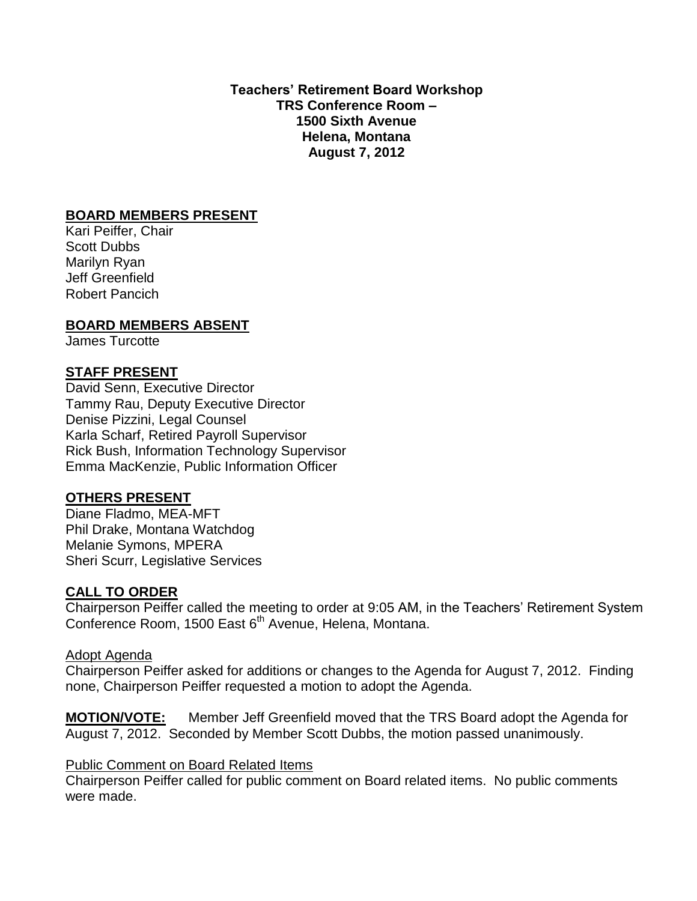**Teachers' Retirement Board Workshop TRS Conference Room – 1500 Sixth Avenue Helena, Montana August 7, 2012**

### **BOARD MEMBERS PRESENT**

Kari Peiffer, Chair Scott Dubbs Marilyn Ryan Jeff Greenfield Robert Pancich

### **BOARD MEMBERS ABSENT**

James Turcotte

### **STAFF PRESENT**

David Senn, Executive Director Tammy Rau, Deputy Executive Director Denise Pizzini, Legal Counsel Karla Scharf, Retired Payroll Supervisor Rick Bush, Information Technology Supervisor Emma MacKenzie, Public Information Officer

### **OTHERS PRESENT**

Diane Fladmo, MEA-MFT Phil Drake, Montana Watchdog Melanie Symons, MPERA Sheri Scurr, Legislative Services

### **CALL TO ORDER**

Chairperson Peiffer called the meeting to order at 9:05 AM, in the Teachers' Retirement System Conference Room, 1500 East 6<sup>th</sup> Avenue, Helena, Montana.

### Adopt Agenda

Chairperson Peiffer asked for additions or changes to the Agenda for August 7, 2012. Finding none, Chairperson Peiffer requested a motion to adopt the Agenda.

**MOTION/VOTE:** Member Jeff Greenfield moved that the TRS Board adopt the Agenda for August 7, 2012. Seconded by Member Scott Dubbs, the motion passed unanimously.

### **Public Comment on Board Related Items**

Chairperson Peiffer called for public comment on Board related items. No public comments were made.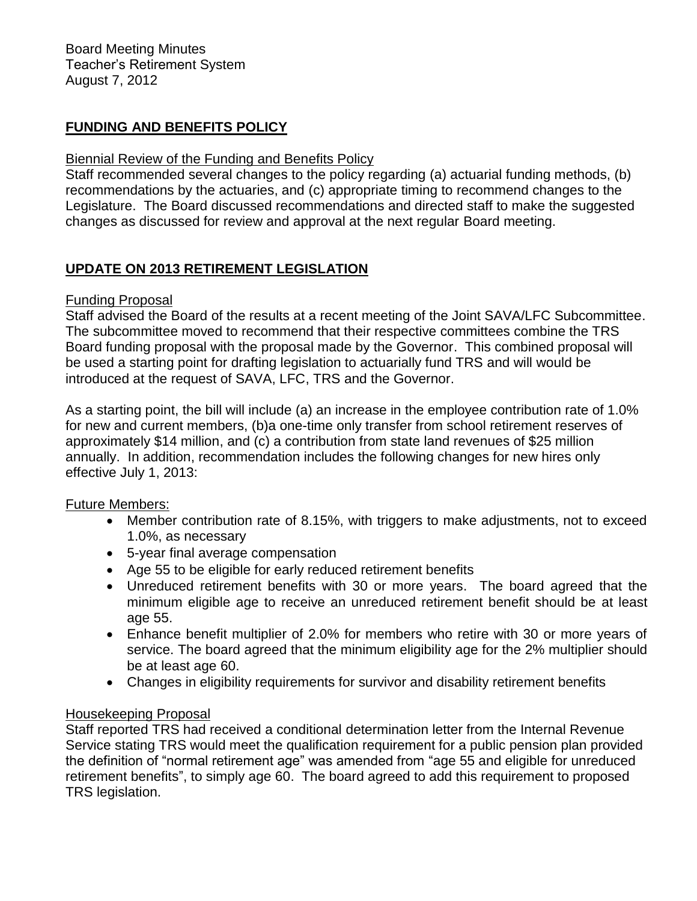## **FUNDING AND BENEFITS POLICY**

### Biennial Review of the Funding and Benefits Policy

Staff recommended several changes to the policy regarding (a) actuarial funding methods, (b) recommendations by the actuaries, and (c) appropriate timing to recommend changes to the Legislature. The Board discussed recommendations and directed staff to make the suggested changes as discussed for review and approval at the next regular Board meeting.

## **UPDATE ON 2013 RETIREMENT LEGISLATION**

### Funding Proposal

Staff advised the Board of the results at a recent meeting of the Joint SAVA/LFC Subcommittee. The subcommittee moved to recommend that their respective committees combine the TRS Board funding proposal with the proposal made by the Governor. This combined proposal will be used a starting point for drafting legislation to actuarially fund TRS and will would be introduced at the request of SAVA, LFC, TRS and the Governor.

As a starting point, the bill will include (a) an increase in the employee contribution rate of 1.0% for new and current members, (b)a one-time only transfer from school retirement reserves of approximately \$14 million, and (c) a contribution from state land revenues of \$25 million annually. In addition, recommendation includes the following changes for new hires only effective July 1, 2013:

### Future Members:

- Member contribution rate of 8.15%, with triggers to make adjustments, not to exceed 1.0%, as necessary
- 5-year final average compensation
- Age 55 to be eligible for early reduced retirement benefits
- Unreduced retirement benefits with 30 or more years. The board agreed that the minimum eligible age to receive an unreduced retirement benefit should be at least age 55.
- Enhance benefit multiplier of 2.0% for members who retire with 30 or more years of service. The board agreed that the minimum eligibility age for the 2% multiplier should be at least age 60.
- Changes in eligibility requirements for survivor and disability retirement benefits

## Housekeeping Proposal

Staff reported TRS had received a conditional determination letter from the Internal Revenue Service stating TRS would meet the qualification requirement for a public pension plan provided the definition of "normal retirement age" was amended from "age 55 and eligible for unreduced retirement benefits", to simply age 60. The board agreed to add this requirement to proposed TRS legislation.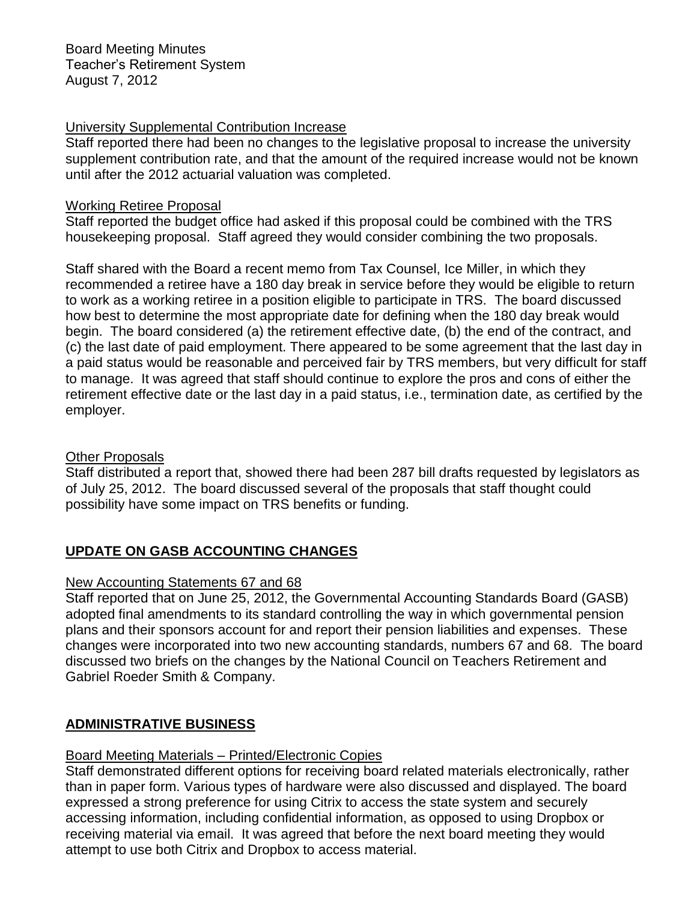### University Supplemental Contribution Increase

Staff reported there had been no changes to the legislative proposal to increase the university supplement contribution rate, and that the amount of the required increase would not be known until after the 2012 actuarial valuation was completed.

### Working Retiree Proposal

Staff reported the budget office had asked if this proposal could be combined with the TRS housekeeping proposal. Staff agreed they would consider combining the two proposals.

Staff shared with the Board a recent memo from Tax Counsel, Ice Miller, in which they recommended a retiree have a 180 day break in service before they would be eligible to return to work as a working retiree in a position eligible to participate in TRS. The board discussed how best to determine the most appropriate date for defining when the 180 day break would begin. The board considered (a) the retirement effective date, (b) the end of the contract, and (c) the last date of paid employment. There appeared to be some agreement that the last day in a paid status would be reasonable and perceived fair by TRS members, but very difficult for staff to manage. It was agreed that staff should continue to explore the pros and cons of either the retirement effective date or the last day in a paid status, i.e., termination date, as certified by the employer.

## Other Proposals

Staff distributed a report that, showed there had been 287 bill drafts requested by legislators as of July 25, 2012. The board discussed several of the proposals that staff thought could possibility have some impact on TRS benefits or funding.

# **UPDATE ON GASB ACCOUNTING CHANGES**

## New Accounting Statements 67 and 68

Staff reported that on June 25, 2012, the Governmental Accounting Standards Board (GASB) adopted final amendments to its standard controlling the way in which governmental pension plans and their sponsors account for and report their pension liabilities and expenses. These changes were incorporated into two new accounting standards, numbers 67 and 68. The board discussed two briefs on the changes by the National Council on Teachers Retirement and Gabriel Roeder Smith & Company.

## **ADMINISTRATIVE BUSINESS**

## Board Meeting Materials – Printed/Electronic Copies

Staff demonstrated different options for receiving board related materials electronically, rather than in paper form. Various types of hardware were also discussed and displayed. The board expressed a strong preference for using Citrix to access the state system and securely accessing information, including confidential information, as opposed to using Dropbox or receiving material via email. It was agreed that before the next board meeting they would attempt to use both Citrix and Dropbox to access material.